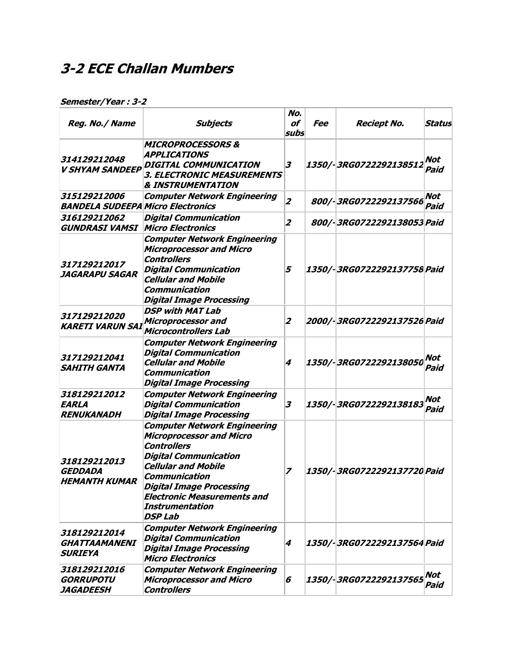## **3-2 ECE Challan Mumbers**

| Reg. No./ Name                                           | <b>Subjects</b>                                                                                                                                                                                                                                                                                  | No.<br>of<br>subs | Fee | <b>Reciept No.</b>          | <b>Status</b> |
|----------------------------------------------------------|--------------------------------------------------------------------------------------------------------------------------------------------------------------------------------------------------------------------------------------------------------------------------------------------------|-------------------|-----|-----------------------------|---------------|
| 314129212048<br><b>V SHYAM SANDEEP</b>                   | <b>MICROPROCESSORS &amp;</b><br>APPLICATIONS<br>DIGITAL COMMUNICATION<br>3. ELECTRONIC MEASUREMENTS<br><b>&amp; INSTRUMENTATION</b>                                                                                                                                                              | 3                 |     | 1350/-3RG0722292138512      | Not<br>Paid   |
| 315129212006<br><b>BANDELA SUDEEPA Micro Electronics</b> | <b>Computer Network Engineering</b>                                                                                                                                                                                                                                                              | $\overline{2}$    |     | 800/-3RG0722292137566       | Not<br>Paid   |
| 316129212062<br><b>GUNDRASI VAMSI</b>                    | <b>Digital Communication</b><br><b>Micro Electronics</b>                                                                                                                                                                                                                                         | $\overline{z}$    |     | 800/-3RG0722292138053 Paid  |               |
| 317129212017<br>JAGARAPU SAGAR                           | <b>Computer Network Engineering</b><br><b>Microprocessor and Micro</b><br><b>Controllers</b><br><b>Digital Communication</b><br><b>Cellular and Mobile</b><br><b>Communication</b><br><b>Digital Image Processing</b>                                                                            | 5                 |     | 1350/-3RG0722292137758 Paid |               |
| 317129212020<br><b>KARETI VARUN SAI</b>                  | <b>DSP with MAT Lab</b><br><b>Microprocessor and</b><br><b>Microcontrollers Lab</b>                                                                                                                                                                                                              | $\overline{2}$    |     | 2000/-3RG0722292137526 Paid |               |
| 317129212041<br><b>SAHITH GANTA</b>                      | <b>Computer Network Engineering</b><br><b>Digital Communication</b><br><b>Cellular and Mobile</b><br><b>Communication</b><br>Digital Image Processing                                                                                                                                            | 4                 |     | 1350/-3RG0722292138050      | Not<br>Paid   |
| 318129212012<br><b>EARLA</b><br><b>RENUKANADH</b>        | <b>Computer Network Engineering</b><br><b>Digital Communication</b><br><b>Digital Image Processing</b>                                                                                                                                                                                           | 3                 |     | 1350/-3RG0722292138183      | Not<br>Paid   |
| 318129212013<br><b>GEDDADA</b><br><b>HEMANTH KUMAR</b>   | <b>Computer Network Engineering</b><br><b>Microprocessor and Micro</b><br><b>Controllers</b><br><b>Digital Communication</b><br><b>Cellular and Mobile</b><br><b>Communication</b><br><b>Digital Image Processing</b><br><b>Electronic Measurements and</b><br><b>Instrumentation</b><br>DSP Lab | 7                 |     | 1350/-3RG0722292137720 Paid |               |
| 318129212014<br><b>GHATTAAMANENI</b><br>SURIEYA          | <b>Computer Network Engineering</b><br><b>Digital Communication</b><br><b>Digital Image Processing</b><br><b>Micro Electronics</b>                                                                                                                                                               | 4                 |     | 1350/-3RG0722292137564 Paid |               |
| 318129212016<br><b>GORRUPOTU</b><br><b>JAGADEESH</b>     | <b>Computer Network Engineering</b><br><b>Microprocessor and Micro</b><br><b>Controllers</b>                                                                                                                                                                                                     | 6                 |     | 1350/-3RG0722292137565      | Not<br>Paid   |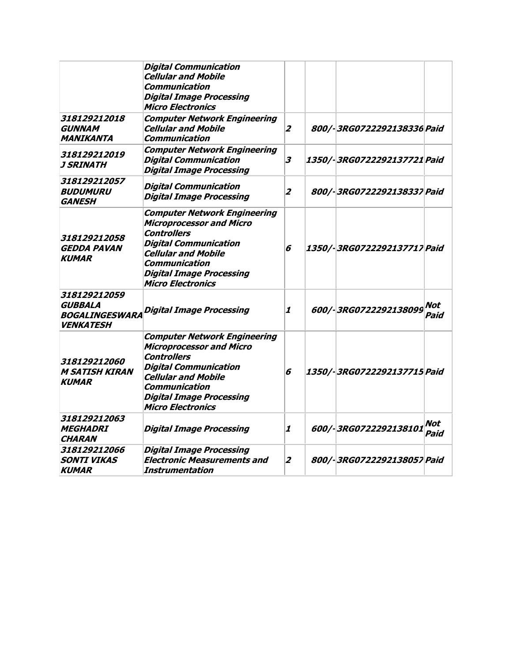|                                                                             | <b>Digital Communication</b><br><b>Cellular and Mobile</b><br>Communication<br><b>Digital Image Processing</b><br><b>Micro Electronics</b>                                                                                                        |                         |                             |             |
|-----------------------------------------------------------------------------|---------------------------------------------------------------------------------------------------------------------------------------------------------------------------------------------------------------------------------------------------|-------------------------|-----------------------------|-------------|
| 318129212018<br><b>GUNNAM</b><br><b>MANIKANTA</b>                           | <b>Computer Network Engineering</b><br><b>Cellular and Mobile</b><br><b>Communication</b>                                                                                                                                                         | $\overline{2}$          | 800/-3RG0722292138336 Paid  |             |
| 318129212019<br>J SRINATH                                                   | <b>Computer Network Engineering</b><br><b>Digital Communication</b><br><b>Digital Image Processing</b>                                                                                                                                            | 3                       | 1350/-3RG0722292137721 Paid |             |
| 318129212057<br><i><b>BUDUMURU</b></i><br><b>GANESH</b>                     | <b>Digital Communication</b><br><b>Digital Image Processing</b>                                                                                                                                                                                   | $\overline{\mathbf{z}}$ | 800/-3RG0722292138337 Paid  |             |
| 318129212058<br><b>GEDDA PAVAN</b><br><b>KUMAR</b>                          | <b>Computer Network Engineering</b><br><b>Microprocessor and Micro</b><br><b>Controllers</b><br><b>Digital Communication</b><br><b>Cellular and Mobile</b><br><b>Communication</b><br><b>Digital Image Processing</b><br><b>Micro Electronics</b> | 6                       | 1350/-3RG0722292137717 Paid |             |
| 318129212059<br><b>GUBBALA</b><br><b>BOGALINGESWARA</b><br><b>VENKATESH</b> | <b>Digital Image Processing</b>                                                                                                                                                                                                                   | 1                       | 600/-3RG0722292138099       | Not<br>Paid |
| 318129212060<br><b>M SATISH KIRAN</b><br><b>KUMAR</b>                       | <b>Computer Network Engineering</b><br><b>Microprocessor and Micro</b><br><b>Controllers</b><br><b>Digital Communication</b><br><b>Cellular and Mobile</b><br><b>Communication</b><br><b>Digital Image Processing</b><br><b>Micro Electronics</b> | 6                       | 1350/-3RG0722292137715 Paid |             |
| 318129212063<br><b>MEGHADRI</b><br><b>CHARAN</b>                            | <b>Digital Image Processing</b>                                                                                                                                                                                                                   | 1                       | 600/-3RG0722292138101       | Not<br>Paid |
| 318129212066<br><b>SONTI VIKAS</b><br><b>KUMAR</b>                          | <b>Digital Image Processing</b><br><b>Electronic Measurements and</b><br>Instrumentation                                                                                                                                                          | $\mathbf{2}$            | 800/-3RG0722292138057 Paid  |             |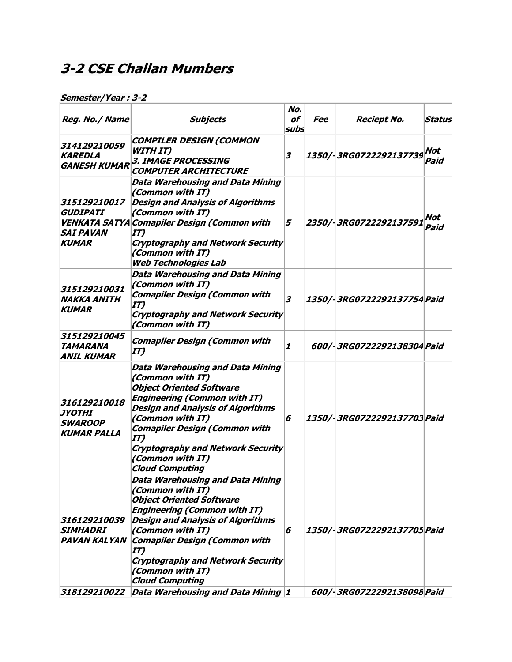## **3-2 CSE Challan Mumbers**

| Reg. No./ Name                                                             | <b>Subjects</b>                                                                                                                                                                                                                                                                                                                                | No.<br>of<br>subs         | <i>Fee</i> | <b>Reciept No.</b>          | Status      |
|----------------------------------------------------------------------------|------------------------------------------------------------------------------------------------------------------------------------------------------------------------------------------------------------------------------------------------------------------------------------------------------------------------------------------------|---------------------------|------------|-----------------------------|-------------|
| 314129210059<br><b>KAREDLA</b><br><b>GANESH KUMAR</b>                      | <b>COMPILER DESIGN (COMMON</b><br><b>WITH IT)</b><br>3. IMAGE PROCESSING<br><b>COMPUTER ARCHITECTURE</b>                                                                                                                                                                                                                                       | 3                         |            | 1350/-3RG0722292137739      | Not<br>Paid |
| 315129210017<br><b>GUDIPATI</b><br><i><b>SAI PAVAN</b></i><br><b>KUMAR</b> | <b>Data Warehousing and Data Mining</b><br>(Common with IT)<br><b>Design and Analysis of Algorithms</b><br>(Common with IT)<br><b>VENKATA SATYA Comapiler Design (Common with</b><br>$\bm{I}\bm{T}$<br><b>Cryptography and Network Security</b><br>(Common with IT)<br><b>Web Technologies Lab</b>                                             | 5                         |            | 2350/-3RG0722292137591      | Not<br>Paid |
| 315129210031<br><b>NAKKA ANITH</b><br><b>KUMAR</b>                         | <b>Data Warehousing and Data Mining</b><br>(Common with IT)<br><b>Comapiler Design (Common with</b><br>$\bm{I}\bm{T}$<br><b>Cryptography and Network Security</b><br>(Common with IT)                                                                                                                                                          | 3                         |            | 1350/-3RG0722292137754 Paid |             |
| 315129210045<br><b>TAMARANA</b><br><b>ANIL KUMAR</b>                       | <b>Comapiler Design (Common with</b><br>IT)                                                                                                                                                                                                                                                                                                    | $\boldsymbol{\mathit{1}}$ |            | 600/-3RG0722292138304 Paid  |             |
| 316129210018<br><b>JYOTHI</b><br><b>SWAROOP</b><br><b>KUMAR PALLA</b>      | <b>Data Warehousing and Data Mining</b><br>(Common with IT)<br><b>Object Oriented Software</b><br><b>Engineering (Common with IT)</b><br><b>Design and Analysis of Algorithms</b><br>(Common with IT)<br><b>Comapiler Design (Common with</b><br>IT)<br><b>Cryptography and Network Security</b><br>(Common with IT)<br><b>Cloud Computing</b> | 6                         |            | 1350/-3RG0722292137703 Paid |             |
| 316129210039<br><b>SIMHADRI</b><br><b>PAVAN KALYAN</b>                     | Data Warehousing and Data Mining<br>(Common with IT)<br><b>Object Oriented Software</b><br><b>Engineering (Common with IT)</b><br><b>Design and Analysis of Algorithms</b><br>(Common with IT)<br><b>Comapiler Design (Common with</b><br>$\bm{I}$<br><b>Cryptography and Network Security</b><br>(Common with IT)<br><b>Cloud Computing</b>   | 6                         |            | 1350/-3RG0722292137705 Paid |             |
| 318129210022                                                               | Data Warehousing and Data Mining 1                                                                                                                                                                                                                                                                                                             |                           |            | 600/-3RG0722292138098 Paid  |             |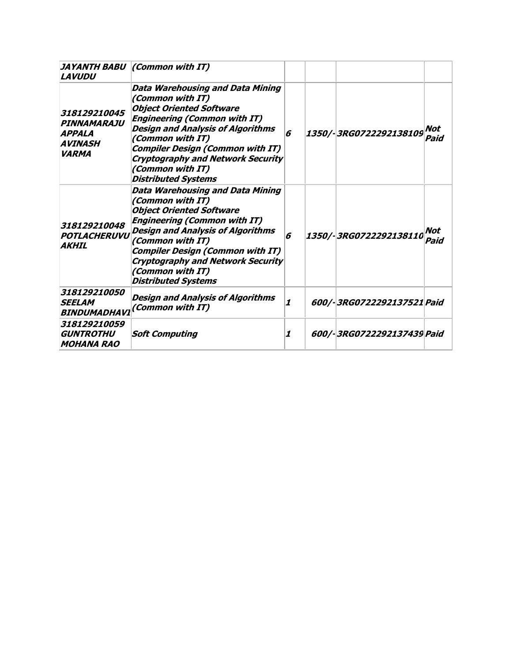| <b>LAVUDU</b>                                                                  | <b>JAYANTH BABU (Common with IT)</b>                                                                                                                                                                                                                                                                                                           |                  |                            |             |
|--------------------------------------------------------------------------------|------------------------------------------------------------------------------------------------------------------------------------------------------------------------------------------------------------------------------------------------------------------------------------------------------------------------------------------------|------------------|----------------------------|-------------|
| 318129210045<br>PINNAMARAJU<br><b>APPALA</b><br><b>AVINASH</b><br><b>VARMA</b> | <b>Data Warehousing and Data Mining</b><br>(Common with IT)<br><b>Object Oriented Software</b><br><b>Engineering (Common with IT)</b><br><b>Design and Analysis of Algorithms</b><br>(Common with IT)<br><b>Compiler Design (Common with IT)</b><br><b>Cryptography and Network Security</b><br>(Common with IT)<br><b>Distributed Systems</b> | 6                | 1350/-3RG0722292138109     | Not<br>Paid |
| 318129210048<br>POTLACHERUVU<br><b>AKHIL</b>                                   | <b>Data Warehousing and Data Mining</b><br>(Common with IT)<br><b>Object Oriented Software</b><br><b>Engineering (Common with IT)</b><br><b>Design and Analysis of Algorithms</b><br>(Common with IT)<br><b>Compiler Design (Common with IT)</b><br><b>Cryptography and Network Security</b><br>(Common with IT)<br><b>Distributed Systems</b> | 6                | 1350/-3RG0722292138110     | Not<br>Paid |
| 318129210050<br><b>SEELAM</b>                                                  | <b>Design and Analysis of Algorithms</b><br>BINDUMADHAVI (Common with IT)                                                                                                                                                                                                                                                                      | $\boldsymbol{1}$ | 600/-3RG0722292137521 Paid |             |
| 318129210059<br><b>GUNTROTHU</b><br><b>MOHANA RAO</b>                          | <b>Soft Computing</b>                                                                                                                                                                                                                                                                                                                          | 1                | 600/-3RG0722292137439 Paid |             |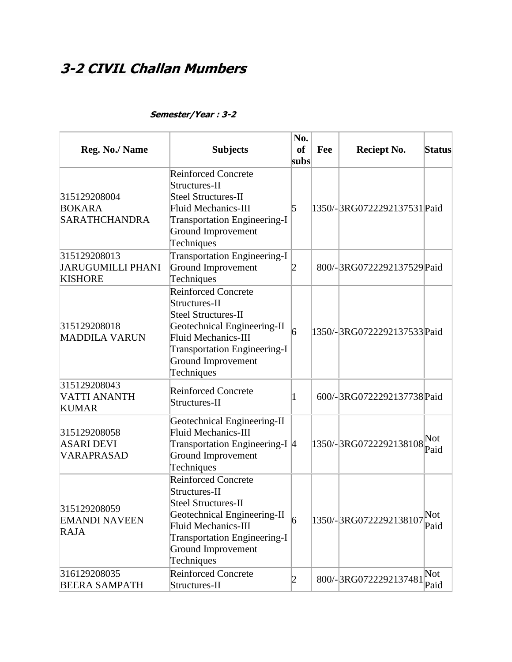# **3-2 CIVIL Challan Mumbers**

| Reg. No./ Name                                             | <b>Subjects</b><br><b>Reinforced Concrete</b>                                                                                                                                                                            | No.<br><sub>of</sub><br>subs | Fee | <b>Reciept No.</b>          | <b>Status</b> |
|------------------------------------------------------------|--------------------------------------------------------------------------------------------------------------------------------------------------------------------------------------------------------------------------|------------------------------|-----|-----------------------------|---------------|
| 315129208004<br><b>BOKARA</b><br><b>SARATHCHANDRA</b>      | Structures-II<br>Steel Structures-II<br><b>Fluid Mechanics-III</b><br><b>Transportation Engineering-I</b><br>Ground Improvement<br>Techniques                                                                            | 5                            |     | 1350/-3RG0722292137531 Paid |               |
| 315129208013<br><b>JARUGUMILLI PHANI</b><br><b>KISHORE</b> | <b>Transportation Engineering-I</b><br>Ground Improvement<br>Techniques                                                                                                                                                  | 2                            |     | 800/-3RG0722292137529 Paid  |               |
| 315129208018<br><b>MADDILA VARUN</b>                       | <b>Reinforced Concrete</b><br>Structures-II<br><b>Steel Structures-II</b><br>Geotechnical Engineering-II<br><b>Fluid Mechanics-III</b><br><b>Transportation Engineering-I</b><br><b>Ground Improvement</b><br>Techniques | 6                            |     | 1350/-3RG0722292137533Paid  |               |
| 315129208043<br><b>VATTI ANANTH</b><br><b>KUMAR</b>        | <b>Reinforced Concrete</b><br>Structures-II                                                                                                                                                                              | 1                            |     | 600/-3RG0722292137738 Paid  |               |
| 315129208058<br><b>ASARI DEVI</b><br>VARAPRASAD            | Geotechnical Engineering-II<br><b>Fluid Mechanics-III</b><br>Transportation Engineering-I 4<br><b>Ground Improvement</b><br>Techniques                                                                                   |                              |     | 1350/-3RG0722292138108      | Not<br>Paid   |
| 315129208059<br><b>EMANDI NAVEEN</b><br><b>RAJA</b>        | <b>Reinforced Concrete</b><br>Structures-II<br><b>Steel Structures-II</b><br>Geotechnical Engineering-II<br><b>Fluid Mechanics-III</b><br><b>Transportation Engineering-I</b><br><b>Ground Improvement</b><br>Techniques | 6                            |     | 1350/-3RG0722292138107      | Not<br>Paid   |
| 316129208035<br><b>BEERA SAMPATH</b>                       | <b>Reinforced Concrete</b><br>Structures-II                                                                                                                                                                              | 2                            |     | 800/-3RG0722292137481       | Not<br>Paid   |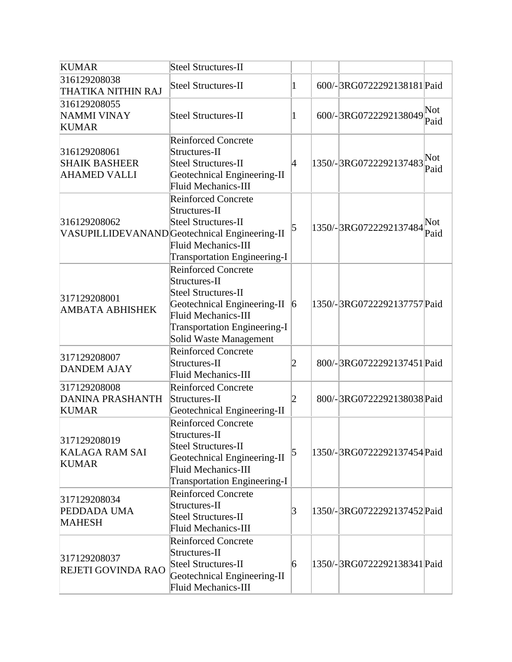| <b>KUMAR</b>                                                | Steel Structures-II                                                                                                                                                                                     |                 |                             |             |
|-------------------------------------------------------------|---------------------------------------------------------------------------------------------------------------------------------------------------------------------------------------------------------|-----------------|-----------------------------|-------------|
| 316129208038<br>THATIKA NITHIN RAJ                          | <b>Steel Structures-II</b>                                                                                                                                                                              | 1               | 600/-3RG0722292138181 Paid  |             |
| 316129208055<br>NAMMI VINAY<br><b>KUMAR</b>                 | <b>Steel Structures-II</b>                                                                                                                                                                              | 1               | 600/-3RG0722292138049       | Not<br>Paid |
| 316129208061<br><b>SHAIK BASHEER</b><br><b>AHAMED VALLI</b> | <b>Reinforced Concrete</b><br>Structures-II<br>Steel Structures-II<br>Geotechnical Engineering-II<br><b>Fluid Mechanics-III</b>                                                                         | 4               | 1350/-3RG0722292137483      | Not<br>Paid |
| 316129208062                                                | <b>Reinforced Concrete</b><br>Structures-II<br>Steel Structures-II<br>VASUPILLIDEVANAND Geotechnical Engineering-II<br>Fluid Mechanics-III<br><b>Transportation Engineering-I</b>                       | 5               | 1350/-3RG0722292137484      | Not<br>Paid |
| 317129208001<br><b>AMBATA ABHISHEK</b>                      | <b>Reinforced Concrete</b><br>Structures-II<br><b>Steel Structures-II</b><br>Geotechnical Engineering-II<br><b>Fluid Mechanics-III</b><br><b>Transportation Engineering-I</b><br>Solid Waste Management | $\vert 6 \vert$ | 1350/-3RG0722292137757 Paid |             |
| 317129208007<br><b>DANDEM AJAY</b>                          | <b>Reinforced Concrete</b><br>Structures-II<br><b>Fluid Mechanics-III</b>                                                                                                                               | 2               | 800/-3RG0722292137451 Paid  |             |
| 317129208008<br><b>DANINA PRASHANTH</b><br><b>KUMAR</b>     | <b>Reinforced Concrete</b><br>Structures-II<br>Geotechnical Engineering-II                                                                                                                              | $ 2\rangle$     | 800/-3RG0722292138038 Paid  |             |
| 317129208019<br><b>KALAGA RAM SAI</b><br><b>KUMAR</b>       | <b>Reinforced Concrete</b><br>Structures-II<br><b>Steel Structures-II</b><br>Geotechnical Engineering-II<br>Fluid Mechanics-III<br><b>Transportation Engineering-I</b>                                  | 5               | 1350/-3RG0722292137454 Paid |             |
| 317129208034<br>PEDDADA UMA<br><b>MAHESH</b>                | <b>Reinforced Concrete</b><br>Structures-II<br>Steel Structures-II<br><b>Fluid Mechanics-III</b>                                                                                                        | $\vert 3 \vert$ | 1350/-3RG0722292137452Paid  |             |
| 317129208037<br>REJETI GOVINDA RAO                          | <b>Reinforced Concrete</b><br>Structures-II<br>Steel Structures-II<br>Geotechnical Engineering-II<br><b>Fluid Mechanics-III</b>                                                                         | 6               | 1350/-3RG0722292138341Paid  |             |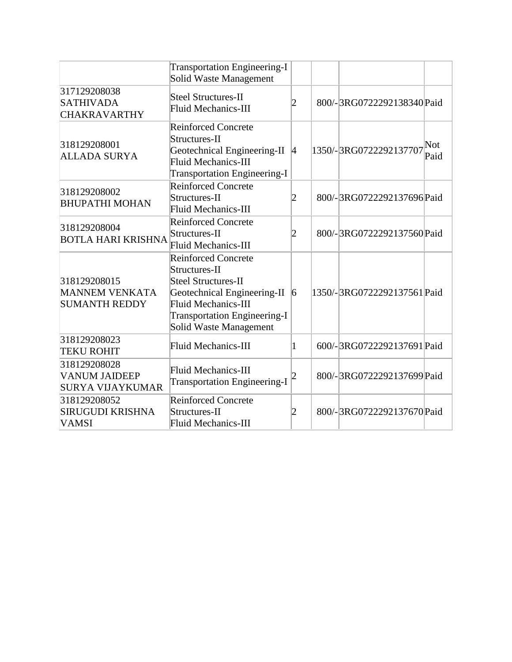|                                                                 | <b>Transportation Engineering-I</b><br>Solid Waste Management                                                                                                                             |                 |                                       |
|-----------------------------------------------------------------|-------------------------------------------------------------------------------------------------------------------------------------------------------------------------------------------|-----------------|---------------------------------------|
| 317129208038<br><b>SATHIVADA</b><br><b>CHAKRAVARTHY</b>         | <b>Steel Structures-II</b><br>Fluid Mechanics-III                                                                                                                                         | 2               | 800/-3RG0722292138340 Paid            |
| 318129208001<br><b>ALLADA SURYA</b>                             | <b>Reinforced Concrete</b><br>Structures-II<br>Geotechnical Engineering-II<br>Fluid Mechanics-III<br><b>Transportation Engineering-I</b>                                                  | $ 4\rangle$     | Not<br>1350/-3RG0722292137707<br>Paid |
| 318129208002<br><b>BHUPATHI MOHAN</b>                           | <b>Reinforced Concrete</b><br>Structures-II<br>Fluid Mechanics-III                                                                                                                        | 2               | 800/-3RG0722292137696Paid             |
| 318129208004<br><b>BOTLA HARI KRISHNA</b>                       | <b>Reinforced Concrete</b><br>Structures-II<br><b>Fluid Mechanics-III</b>                                                                                                                 | 2               | 800/-3RG0722292137560 Paid            |
| 318129208015<br><b>MANNEM VENKATA</b><br><b>SUMANTH REDDY</b>   | <b>Reinforced Concrete</b><br>Structures-II<br>Steel Structures-II<br>Geotechnical Engineering-II<br>Fluid Mechanics-III<br><b>Transportation Engineering-I</b><br>Solid Waste Management | $\vert 6 \vert$ | 1350/-3RG0722292137561 Paid           |
| 318129208023<br><b>TEKU ROHIT</b>                               | Fluid Mechanics-III                                                                                                                                                                       | 1               | 600/-3RG0722292137691 Paid            |
| 318129208028<br><b>VANUM JAIDEEP</b><br><b>SURYA VIJAYKUMAR</b> | <b>Fluid Mechanics-III</b><br><b>Transportation Engineering-I</b>                                                                                                                         |                 | 800/-3RG0722292137699 Paid            |
| 318129208052<br><b>SIRUGUDI KRISHNA</b><br><b>VAMSI</b>         | <b>Reinforced Concrete</b><br>Structures-II<br><b>Fluid Mechanics-III</b>                                                                                                                 |                 | 800/-3RG0722292137670 Paid            |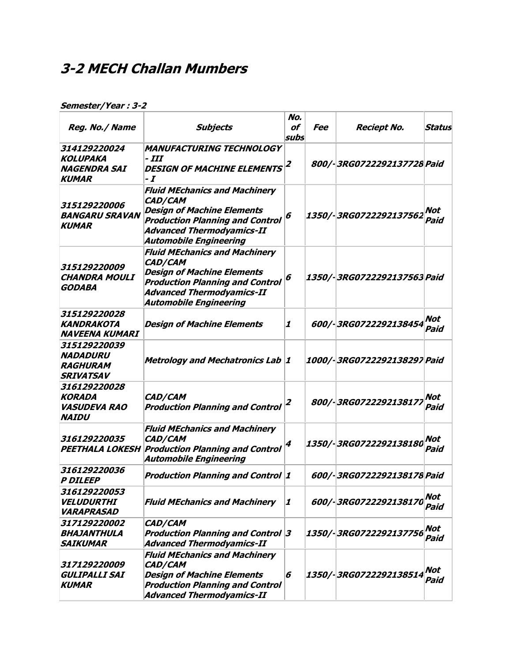## **3-2 MECH Challan Mumbers**

| Reg. No./ Name                                                                | <b>Subjects</b>                                                                                                                                                                                            | No.<br>of<br>subs         | <i>Fee</i> | <b>Reciept No.</b>          | Status      |
|-------------------------------------------------------------------------------|------------------------------------------------------------------------------------------------------------------------------------------------------------------------------------------------------------|---------------------------|------------|-----------------------------|-------------|
| 314129220024<br>KOLUPAKA<br><b>NAGENDRA SAI</b><br><b>KUMAR</b>               | <b>MANUFACTURING TECHNOLOGY</b><br>- 111<br><b>DESIGN OF MACHINE ELEMENTS</b><br>- I                                                                                                                       | 2                         |            | 800/-3RG0722292137728 Paid  |             |
| 315129220006<br><b>BANGARU SRAVAN</b><br><b>KUMAR</b>                         | <b>Fluid MEchanics and Machinery</b><br>CAD/CAM<br><b>Design of Machine Elements</b><br><b>Production Planning and Control</b><br>Advanced Thermodyamics-II<br><b>Automobile Engineering</b>               | 6                         |            | 1350/-3RG0722292137562      | Not<br>Paid |
| 315129220009<br><b>CHANDRA MOULI</b><br><b>GODABA</b>                         | <b>Fluid MEchanics and Machinery</b><br><b>CAD/CAM</b><br><b>Design of Machine Elements</b><br><b>Production Planning and Control</b><br><b>Advanced Thermodyamics-II</b><br><b>Automobile Engineering</b> | 6                         |            | 1350/-3RG0722292137563 Paid |             |
| 315129220028<br><b>KANDRAKOTA</b><br>NAVEENA KUMARI                           | <b>Design of Machine Elements</b>                                                                                                                                                                          | 1                         |            | 600/-3RG0722292138454       | Not<br>Paid |
| 315129220039<br><b>NADADURU</b><br><b>RAGHURAM</b><br><i><b>SRIVATSAV</b></i> | <b>Metrology and Mechatronics Lab 1</b>                                                                                                                                                                    |                           |            | 1000/-3RG0722292138297 Paid |             |
| 316129220028<br><b>KORADA</b><br><b>VASUDEVA RAO</b><br><b>NAIDU</b>          | CAD/CAM<br><b>Production Planning and Control</b>                                                                                                                                                          | 2                         |            | 800/-3RG072229213817.       | Not<br>Paid |
| 316129220035                                                                  | <b>Fluid MEchanics and Machinery</b><br>CAD/CAM<br><b>PEETHALA LOKESH Production Planning and Control</b><br><b>Automobile Engineering</b>                                                                 | 4                         |            | 1350/-3RG0722292138180      | Not<br>Paid |
| 316129220036<br><i><b>P DILEEP</b></i>                                        | <b>Production Planning and Control 1</b>                                                                                                                                                                   |                           |            | 600/-3RG0722292138178 Paid  |             |
| 316129220053<br><b>VELUDURTHI</b><br><b>VARAPRASAD</b>                        | <b>Fluid MEchanics and Machinery</b>                                                                                                                                                                       | $\boldsymbol{\mathit{1}}$ |            | 600/-3RG0722292138170       | Not<br>Paid |
| 317129220002<br>BHAJANTHULA<br><b>SAIKUMAR</b>                                | <b>CAD/CAM</b><br><b>Production Planning and Control 3</b><br><b>Advanced Thermodyamics-II</b>                                                                                                             |                           |            | 1350/-3RG0722292137756      | Not<br>Paid |
| <i>317129220009</i><br><b>GULIPALLI SAI</b><br><b>KUMAR</b>                   | <b>Fluid MEchanics and Machinery</b><br>CAD/CAM<br><b>Design of Machine Elements</b><br><b>Production Planning and Control</b><br><b>Advanced Thermodyamics-II</b>                                         | 6                         |            | 1350/-3RG0722292138514      | Not<br>Paid |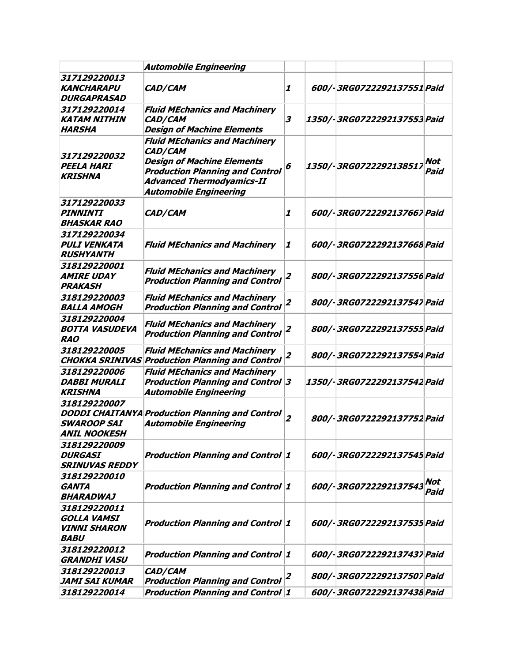|                                                                          | <b>Automobile Engineering</b>                                                                                                                                                                       |                           |                              |                    |
|--------------------------------------------------------------------------|-----------------------------------------------------------------------------------------------------------------------------------------------------------------------------------------------------|---------------------------|------------------------------|--------------------|
| 317129220013<br><b>KANCHARAPU</b><br><b>DURGAPRASAD</b>                  | CAD/CAM                                                                                                                                                                                             | 1                         | 600/-3RG0722292137551 Paid   |                    |
| 317129220014<br><b>KATAM NITHIN</b><br>HARSHA                            | <b>Fluid MEchanics and Machinery</b><br>CAD/CAM<br><b>Design of Machine Elements</b>                                                                                                                | 3                         | 1350/- 3RG0722292137553 Paid |                    |
| 317129220032<br><b>PEELA HARI</b><br><b>KRISHNA</b>                      | <b>Fluid MEchanics and Machinery</b><br>CAD/CAM<br><b>Design of Machine Elements</b><br><b>Production Planning and Control</b><br><b>Advanced Thermodyamics-II</b><br><b>Automobile Engineering</b> | 6                         | 1350/-3RG0722292138517       | Not<br>Paid        |
| 317129220033<br><b>PINNINTI</b><br><b>BHASKAR RAO</b>                    | CAD/CAM                                                                                                                                                                                             | $\boldsymbol{\mathit{1}}$ | 600/-3RG0722292137667 Paid   |                    |
| 317129220034<br><b>PULI VENKATA</b><br><b>RUSHYANTH</b>                  | <b>Fluid MEchanics and Machinery</b>                                                                                                                                                                | 1                         | 600/-3RG0722292137668 Paid   |                    |
| 318129220001<br><b>AMIRE UDAY</b><br><b>PRAKASH</b>                      | <b>Fluid MEchanics and Machinery</b><br><b>Production Planning and Control</b>                                                                                                                      | $\overline{z}$            | 800/-3RG0722292137556 Paid   |                    |
| 318129220003<br><b>BALLA AMOGH</b>                                       | <b>Fluid MEchanics and Machinery</b><br><b>Production Planning and Control</b>                                                                                                                      | 2                         | 800/-3RG0722292137547 Paid   |                    |
| 318129220004<br><b>BOTTA VASUDEVA</b><br><b>RAO</b>                      | <b>Fluid MEchanics and Machinery</b><br><b>Production Planning and Control</b>                                                                                                                      | $\overline{z}$            | 800/-3RG0722292137555 Paid   |                    |
| 318129220005                                                             | <b>Fluid MEchanics and Machinery</b><br><b>CHOKKA SRINIVAS Production Planning and Control</b>                                                                                                      | $\overline{\mathbf{z}}$   | 800/-3RG0722292137554 Paid   |                    |
| 318129220006<br><b>DABBI MURALI</b><br><b>KRISHNA</b>                    | <b>Fluid MEchanics and Machinery</b><br><b>Production Planning and Control 3</b><br><b>Automobile Engineering</b>                                                                                   |                           | 1350/-3RG0722292137542 Paid  |                    |
| 318129220007<br><b>SWAROOP SAI</b><br>ANIL NOOKESH                       | <b>DODDI CHAITANYA Production Planning and Control</b><br><b>Automobile Engineering</b>                                                                                                             | $\overline{z}$            | 800/-3RG0722292137752 Paid   |                    |
| <i>318129220009</i><br><b>DURGASI</b><br><b>SRINUVAS REDDY</b>           | Production Planning and Control  1                                                                                                                                                                  |                           | 600/-3RG0722292137545 Paid   |                    |
| 318129220010<br><b>GANTA</b><br>BHARADWAJ                                | Production Planning and Control  1                                                                                                                                                                  |                           | 600/-3RG0722292137543        | <b>Not</b><br>Paid |
| 318129220011<br><b>GOLLA VAMSI</b><br><b>VINNI SHARON</b><br><b>BABU</b> | <b>Production Planning and Control 1</b>                                                                                                                                                            |                           | 600/-3RG0722292137535 Paid   |                    |
| 318129220012<br><b>GRANDHI VASU</b>                                      | Production Planning and Control  1                                                                                                                                                                  |                           | 600/-3RG0722292137437 Paid   |                    |
| 318129220013<br>JAMI SAI KUMAR                                           | CAD/CAM<br><b>Production Planning and Control</b>                                                                                                                                                   | 2                         | 800/-3RG0722292137507 Paid   |                    |
| 318129220014                                                             | <b>Production Planning and Control 1</b>                                                                                                                                                            |                           | 600/-3RG0722292137438 Paid   |                    |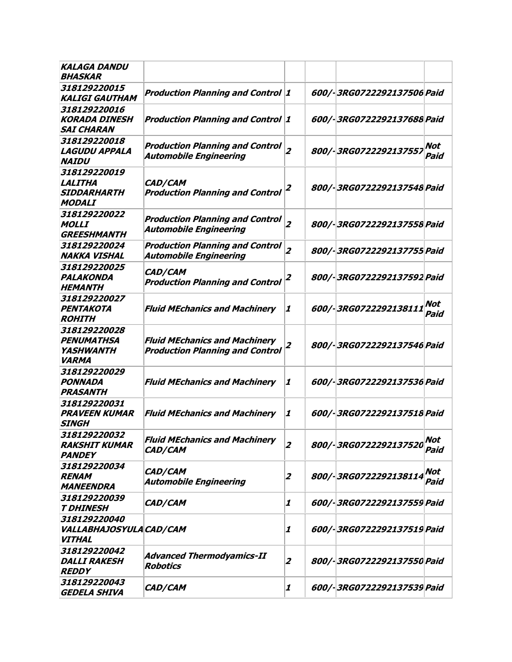| <b>KALAGA DANDU</b><br><b>BHASKAR</b>                          |                                                                                |                           |                            |                    |
|----------------------------------------------------------------|--------------------------------------------------------------------------------|---------------------------|----------------------------|--------------------|
| 318129220015<br><b>KALIGI GAUTHAM</b>                          | <b>Production Planning and Control 1</b>                                       |                           | 600/-3RG0722292137506 Paid |                    |
| 318129220016<br><b>KORADA DINESH</b><br><b>SAI CHARAN</b>      | <b>Production Planning and Control 1</b>                                       |                           | 600/-3RG0722292137688 Paid |                    |
| 318129220018<br><b>LAGUDU APPALA</b><br><b>NAIDU</b>           | <b>Production Planning and Control</b><br><b>Automobile Engineering</b>        | $\overline{z}$            | 800/-3RG0722292137557      | <b>Not</b><br>Paid |
| 318129220019<br><b>LALITHA</b><br>SIDDARHARTH<br><b>MODALI</b> | CAD/CAM<br><b>Production Planning and Control</b>                              | 2                         | 800/-3RG0722292137548 Paid |                    |
| 318129220022<br><b>MOLLI</b><br><b>GREESHMANTH</b>             | <b>Production Planning and Control</b><br><b>Automobile Engineering</b>        | $\overline{z}$            | 800/-3RG0722292137558 Paid |                    |
| 318129220024<br><b>NAKKA VISHAL</b>                            | <b>Production Planning and Control</b><br><b>Automobile Engineering</b>        | $\overline{z}$            | 800/-3RG0722292137755 Paid |                    |
| 318129220025<br>PALAKONDA<br><b>HEMANTH</b>                    | CAD/CAM<br><b>Production Planning and Control</b>                              | 2                         | 800/-3RG0722292137592 Paid |                    |
| 318129220027<br>PENTAKOTA<br><b>ROHITH</b>                     | <b>Fluid MEchanics and Machinery</b>                                           | 1                         | 600/-3RG0722292138111      | Not<br>Paid        |
| 318129220028<br><b>PENUMATHSA</b><br>YASHWANTH<br><b>VARMA</b> | <b>Fluid MEchanics and Machinery</b><br><b>Production Planning and Control</b> | $\overline{\mathbf{z}}$   | 800/-3RG0722292137546 Paid |                    |
| 318129220029<br><b>PONNADA</b><br><b>PRASANTH</b>              | <b>Fluid MEchanics and Machinery</b>                                           | $\boldsymbol{\mathit{1}}$ | 600/-3RG0722292137536 Paid |                    |
| 318129220031<br><b>PRAVEEN KUMAR</b><br><b>SINGH</b>           | <b>Fluid MEchanics and Machinery</b>                                           | 1                         | 600/-3RG0722292137518 Paid |                    |
| 318129220032<br><b>RAKSHIT KUMAR</b><br><b>PANDEY</b>          | <b>Fluid MEchanics and Machinery</b><br>CAD/CAM                                | $\overline{z}$            | 800/-3RG0722292137520      | <b>Not</b><br>Paid |
| 318129220034<br><b>RENAM</b><br><b>MANEENDRA</b>               | CAD/CAM<br><b>Automobile Engineering</b>                                       | $\overline{2}$            | 800/-3RG0722292138114      | Not<br>Paid        |
| 318129220039<br><b>T DHINESH</b>                               | CAD/CAM                                                                        | 1                         | 600/-3RG0722292137559 Paid |                    |
| 318129220040<br>VALLABHAJOSYULA CAD/CAM<br><b>VITHAL</b>       |                                                                                | 1                         | 600/-3RG0722292137519 Paid |                    |
| 318129220042<br><b>DALLI RAKESH</b><br><b>REDDY</b>            | <b>Advanced Thermodyamics-II</b><br><b>Robotics</b>                            | $\overline{z}$            | 800/-3RG0722292137550 Paid |                    |
| 318129220043<br><b>GEDELA SHIVA</b>                            | CAD/CAM                                                                        | 1                         | 600/-3RG0722292137539 Paid |                    |